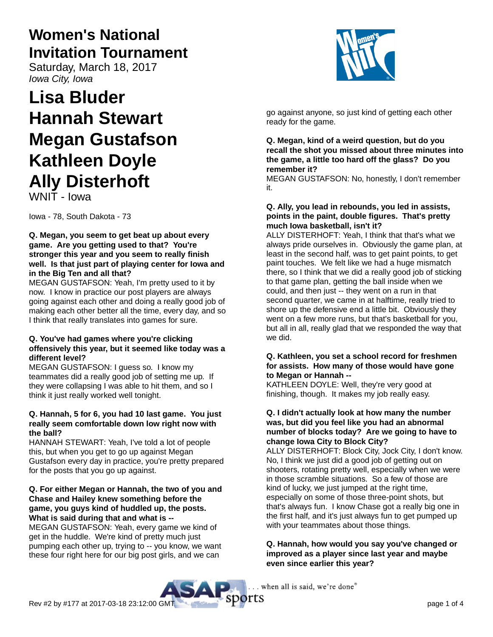# **Women's National Invitation Tournament**

Saturday, March 18, 2017 Iowa City, Iowa

# **Lisa Bluder Hannah Stewart Megan Gustafson Kathleen Doyle Ally Disterhoft**

WNIT - Iowa

Iowa - 78, South Dakota - 73

#### **Q. Megan, you seem to get beat up about every game. Are you getting used to that? You're stronger this year and you seem to really finish well. Is that just part of playing center for Iowa and in the Big Ten and all that?**

MEGAN GUSTAFSON: Yeah, I'm pretty used to it by now. I know in practice our post players are always going against each other and doing a really good job of making each other better all the time, every day, and so I think that really translates into games for sure.

# **Q. You've had games where you're clicking offensively this year, but it seemed like today was a different level?**

MEGAN GUSTAFSON: I guess so. I know my teammates did a really good job of setting me up. If they were collapsing I was able to hit them, and so I think it just really worked well tonight.

# **Q. Hannah, 5 for 6, you had 10 last game. You just really seem comfortable down low right now with the ball?**

HANNAH STEWART: Yeah, I've told a lot of people this, but when you get to go up against Megan Gustafson every day in practice, you're pretty prepared for the posts that you go up against.

# **Q. For either Megan or Hannah, the two of you and Chase and Hailey knew something before the game, you guys kind of huddled up, the posts. What is said during that and what is --**

MEGAN GUSTAFSON: Yeah, every game we kind of get in the huddle. We're kind of pretty much just pumping each other up, trying to -- you know, we want these four right here for our big post girls, and we can



go against anyone, so just kind of getting each other ready for the game.

#### **Q. Megan, kind of a weird question, but do you recall the shot you missed about three minutes into the game, a little too hard off the glass? Do you remember it?**

MEGAN GUSTAFSON: No, honestly, I don't remember it.

#### **Q. Ally, you lead in rebounds, you led in assists, points in the paint, double figures. That's pretty much Iowa basketball, isn't it?**

ALLY DISTERHOFT: Yeah, I think that that's what we always pride ourselves in. Obviously the game plan, at least in the second half, was to get paint points, to get paint touches. We felt like we had a huge mismatch there, so I think that we did a really good job of sticking to that game plan, getting the ball inside when we could, and then just -- they went on a run in that second quarter, we came in at halftime, really tried to shore up the defensive end a little bit. Obviously they went on a few more runs, but that's basketball for you, but all in all, really glad that we responded the way that we did.

#### **Q. Kathleen, you set a school record for freshmen for assists. How many of those would have gone to Megan or Hannah --**

KATHLEEN DOYLE: Well, they're very good at finishing, though. It makes my job really easy.

## **Q. I didn't actually look at how many the number was, but did you feel like you had an abnormal number of blocks today? Are we going to have to change Iowa City to Block City?**

ALLY DISTERHOFT: Block City, Jock City, I don't know. No, I think we just did a good job of getting out on shooters, rotating pretty well, especially when we were in those scramble situations. So a few of those are kind of lucky, we just jumped at the right time, especially on some of those three-point shots, but that's always fun. I know Chase got a really big one in the first half, and it's just always fun to get pumped up with your teammates about those things.

#### **Q. Hannah, how would you say you've changed or improved as a player since last year and maybe even since earlier this year?**

. when all is said, we're done"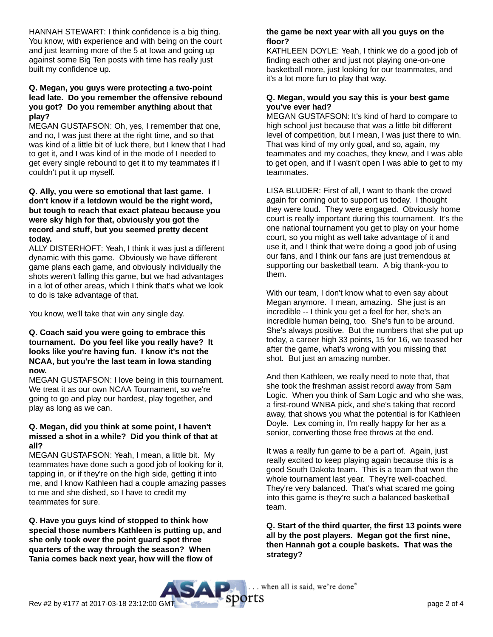HANNAH STEWART: I think confidence is a big thing. You know, with experience and with being on the court and just learning more of the 5 at Iowa and going up against some Big Ten posts with time has really just built my confidence up.

#### **Q. Megan, you guys were protecting a two-point lead late. Do you remember the offensive rebound you got? Do you remember anything about that play?**

MEGAN GUSTAFSON: Oh, yes, I remember that one, and no, I was just there at the right time, and so that was kind of a little bit of luck there, but I knew that I had to get it, and I was kind of in the mode of I needed to get every single rebound to get it to my teammates if I couldn't put it up myself.

#### **Q. Ally, you were so emotional that last game. I don't know if a letdown would be the right word, but tough to reach that exact plateau because you were sky high for that, obviously you got the record and stuff, but you seemed pretty decent today.**

ALLY DISTERHOFT: Yeah, I think it was just a different dynamic with this game. Obviously we have different game plans each game, and obviously individually the shots weren't falling this game, but we had advantages in a lot of other areas, which I think that's what we look to do is take advantage of that.

You know, we'll take that win any single day.

#### **Q. Coach said you were going to embrace this tournament. Do you feel like you really have? It looks like you're having fun. I know it's not the NCAA, but you're the last team in Iowa standing now.**

MEGAN GUSTAFSON: I love being in this tournament. We treat it as our own NCAA Tournament, so we're going to go and play our hardest, play together, and play as long as we can.

#### **Q. Megan, did you think at some point, I haven't missed a shot in a while? Did you think of that at all?**

MEGAN GUSTAFSON: Yeah, I mean, a little bit. My teammates have done such a good job of looking for it, tapping in, or if they're on the high side, getting it into me, and I know Kathleen had a couple amazing passes to me and she dished, so I have to credit my teammates for sure.

**Q. Have you guys kind of stopped to think how special those numbers Kathleen is putting up, and she only took over the point guard spot three quarters of the way through the season? When Tania comes back next year, how will the flow of**

#### **the game be next year with all you guys on the floor?**

KATHLEEN DOYLE: Yeah, I think we do a good job of finding each other and just not playing one-on-one basketball more, just looking for our teammates, and it's a lot more fun to play that way.

# **Q. Megan, would you say this is your best game you've ever had?**

MEGAN GUSTAFSON: It's kind of hard to compare to high school just because that was a little bit different level of competition, but I mean, I was just there to win. That was kind of my only goal, and so, again, my teammates and my coaches, they knew, and I was able to get open, and if I wasn't open I was able to get to my teammates.

LISA BLUDER: First of all, I want to thank the crowd again for coming out to support us today. I thought they were loud. They were engaged. Obviously home court is really important during this tournament. It's the one national tournament you get to play on your home court, so you might as well take advantage of it and use it, and I think that we're doing a good job of using our fans, and I think our fans are just tremendous at supporting our basketball team. A big thank-you to them.

With our team, I don't know what to even say about Megan anymore. I mean, amazing. She just is an incredible -- I think you get a feel for her, she's an incredible human being, too. She's fun to be around. She's always positive. But the numbers that she put up today, a career high 33 points, 15 for 16, we teased her after the game, what's wrong with you missing that shot. But just an amazing number.

And then Kathleen, we really need to note that, that she took the freshman assist record away from Sam Logic. When you think of Sam Logic and who she was, a first-round WNBA pick, and she's taking that record away, that shows you what the potential is for Kathleen Doyle. Lex coming in, I'm really happy for her as a senior, converting those free throws at the end.

It was a really fun game to be a part of. Again, just really excited to keep playing again because this is a good South Dakota team. This is a team that won the whole tournament last year. They're well-coached. They're very balanced. That's what scared me going into this game is they're such a balanced basketball team.

**Q. Start of the third quarter, the first 13 points were all by the post players. Megan got the first nine, then Hannah got a couple baskets. That was the strategy?**

. when all is said, we're done"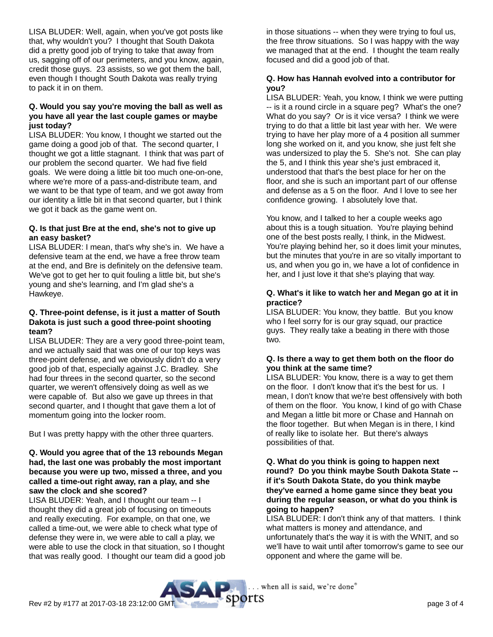LISA BLUDER: Well, again, when you've got posts like that, why wouldn't you? I thought that South Dakota did a pretty good job of trying to take that away from us, sagging off of our perimeters, and you know, again, credit those guys. 23 assists, so we got them the ball, even though I thought South Dakota was really trying to pack it in on them.

## **Q. Would you say you're moving the ball as well as you have all year the last couple games or maybe just today?**

LISA BLUDER: You know, I thought we started out the game doing a good job of that. The second quarter, I thought we got a little stagnant. I think that was part of our problem the second quarter. We had five field goals. We were doing a little bit too much one-on-one, where we're more of a pass-and-distribute team, and we want to be that type of team, and we got away from our identity a little bit in that second quarter, but I think we got it back as the game went on.

# **Q. Is that just Bre at the end, she's not to give up an easy basket?**

LISA BLUDER: I mean, that's why she's in. We have a defensive team at the end, we have a free throw team at the end, and Bre is definitely on the defensive team. We've got to get her to quit fouling a little bit, but she's young and she's learning, and I'm glad she's a Hawkeye.

#### **Q. Three-point defense, is it just a matter of South Dakota is just such a good three-point shooting team?**

LISA BLUDER: They are a very good three-point team, and we actually said that was one of our top keys was three-point defense, and we obviously didn't do a very good job of that, especially against J.C. Bradley. She had four threes in the second quarter, so the second quarter, we weren't offensively doing as well as we were capable of. But also we gave up threes in that second quarter, and I thought that gave them a lot of momentum going into the locker room.

But I was pretty happy with the other three quarters.

#### **Q. Would you agree that of the 13 rebounds Megan had, the last one was probably the most important because you were up two, missed a three, and you called a time-out right away, ran a play, and she saw the clock and she scored?**

LISA BLUDER: Yeah, and I thought our team -- I thought they did a great job of focusing on timeouts and really executing. For example, on that one, we called a time-out, we were able to check what type of defense they were in, we were able to call a play, we were able to use the clock in that situation, so I thought that was really good. I thought our team did a good job in those situations -- when they were trying to foul us, the free throw situations. So I was happy with the way we managed that at the end. I thought the team really focused and did a good job of that.

# **Q. How has Hannah evolved into a contributor for you?**

LISA BLUDER: Yeah, you know, I think we were putting -- is it a round circle in a square peg? What's the one? What do you say? Or is it vice versa? I think we were trying to do that a little bit last year with her. We were trying to have her play more of a 4 position all summer long she worked on it, and you know, she just felt she was undersized to play the 5. She's not. She can play the 5, and I think this year she's just embraced it, understood that that's the best place for her on the floor, and she is such an important part of our offense and defense as a 5 on the floor. And I love to see her confidence growing. I absolutely love that.

You know, and I talked to her a couple weeks ago about this is a tough situation. You're playing behind one of the best posts really, I think, in the Midwest. You're playing behind her, so it does limit your minutes, but the minutes that you're in are so vitally important to us, and when you go in, we have a lot of confidence in her, and I just love it that she's playing that way.

#### **Q. What's it like to watch her and Megan go at it in practice?**

LISA BLUDER: You know, they battle. But you know who I feel sorry for is our gray squad, our practice guys. They really take a beating in there with those two.

# **Q. Is there a way to get them both on the floor do you think at the same time?**

LISA BLUDER: You know, there is a way to get them on the floor. I don't know that it's the best for us. I mean, I don't know that we're best offensively with both of them on the floor. You know, I kind of go with Chase and Megan a little bit more or Chase and Hannah on the floor together. But when Megan is in there, I kind of really like to isolate her. But there's always possibilities of that.

#### **Q. What do you think is going to happen next round? Do you think maybe South Dakota State - if it's South Dakota State, do you think maybe they've earned a home game since they beat you during the regular season, or what do you think is going to happen?**

LISA BLUDER: I don't think any of that matters. I think what matters is money and attendance, and unfortunately that's the way it is with the WNIT, and so we'll have to wait until after tomorrow's game to see our opponent and where the game will be.